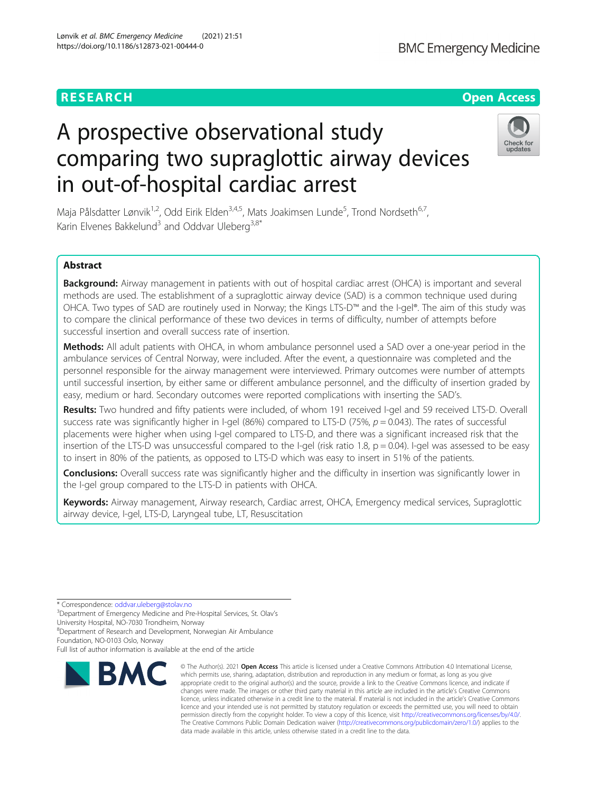# A prospective observational study comparing two supraglottic airway devices in out-of-hospital cardiac arrest

Maja Pålsdatter Lønvik<sup>1,2</sup>, Odd Eirik Elden<sup>3,4,5</sup>, Mats Joakimsen Lunde<sup>5</sup>, Trond Nordseth<sup>6,7</sup>, Karin Elvenes Bakkelund<sup>3</sup> and Oddvar Uleberg<sup>3,8\*</sup>

# Abstract

Background: Airway management in patients with out of hospital cardiac arrest (OHCA) is important and several methods are used. The establishment of a supraglottic airway device (SAD) is a common technique used during OHCA. Two types of SAD are routinely used in Norway; the Kings LTS-D™ and the I-gel®. The aim of this study was to compare the clinical performance of these two devices in terms of difficulty, number of attempts before successful insertion and overall success rate of insertion.

Methods: All adult patients with OHCA, in whom ambulance personnel used a SAD over a one-year period in the ambulance services of Central Norway, were included. After the event, a questionnaire was completed and the personnel responsible for the airway management were interviewed. Primary outcomes were number of attempts until successful insertion, by either same or different ambulance personnel, and the difficulty of insertion graded by easy, medium or hard. Secondary outcomes were reported complications with inserting the SAD's.

Results: Two hundred and fifty patients were included, of whom 191 received I-gel and 59 received LTS-D. Overall success rate was significantly higher in I-gel (86%) compared to LTS-D (75%,  $p = 0.043$ ). The rates of successful placements were higher when using I-gel compared to LTS-D, and there was a significant increased risk that the insertion of the LTS-D was unsuccessful compared to the I-gel (risk ratio 1.8,  $p = 0.04$ ). I-gel was assessed to be easy to insert in 80% of the patients, as opposed to LTS-D which was easy to insert in 51% of the patients.

**Conclusions:** Overall success rate was significantly higher and the difficulty in insertion was significantly lower in the I-gel group compared to the LTS-D in patients with OHCA.

Keywords: Airway management, Airway research, Cardiac arrest, OHCA, Emergency medical services, Supraglottic airway device, I-gel, LTS-D, Laryngeal tube, LT, Resuscitation

> © The Author(s), 2021 **Open Access** This article is licensed under a Creative Commons Attribution 4.0 International License, which permits use, sharing, adaptation, distribution and reproduction in any medium or format, as long as you give

\* Correspondence: [oddvar.uleberg@stolav.no](mailto:oddvar.uleberg@stolav.no) <sup>3</sup>

**RMC** 

<sup>3</sup>Department of Emergency Medicine and Pre-Hospital Services, St. Olay's University Hospital, NO-7030 Trondheim, Norway

8 Department of Research and Development, Norwegian Air Ambulance

Foundation, NO-0103 Oslo, Norway

Full list of author information is available at the end of the article

data made available in this article, unless otherwise stated in a credit line to the data.



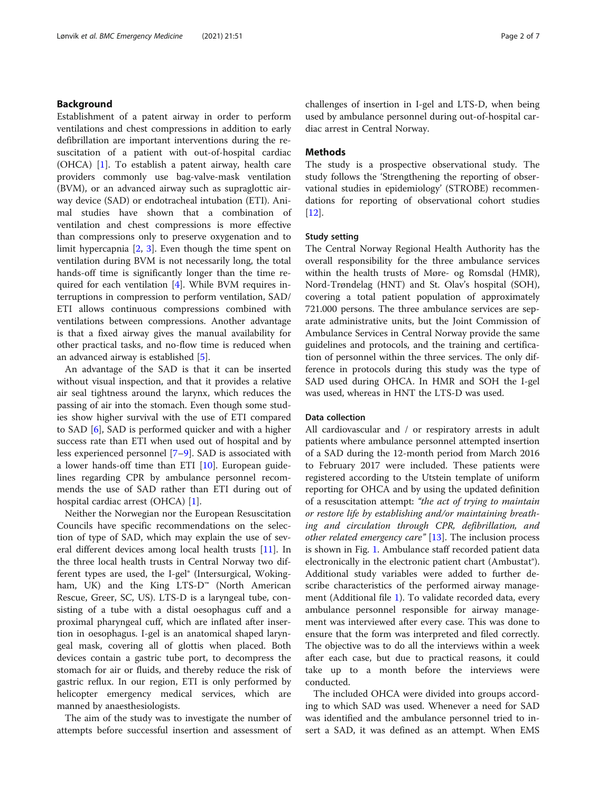#### Background

Establishment of a patent airway in order to perform ventilations and chest compressions in addition to early defibrillation are important interventions during the resuscitation of a patient with out-of-hospital cardiac (OHCA) [[1\]](#page-5-0). To establish a patent airway, health care providers commonly use bag-valve-mask ventilation (BVM), or an advanced airway such as supraglottic airway device (SAD) or endotracheal intubation (ETI). Animal studies have shown that a combination of ventilation and chest compressions is more effective than compressions only to preserve oxygenation and to limit hypercapnia [\[2](#page-5-0), [3](#page-5-0)]. Even though the time spent on ventilation during BVM is not necessarily long, the total hands-off time is significantly longer than the time required for each ventilation [[4](#page-5-0)]. While BVM requires interruptions in compression to perform ventilation, SAD/ ETI allows continuous compressions combined with ventilations between compressions. Another advantage is that a fixed airway gives the manual availability for other practical tasks, and no-flow time is reduced when an advanced airway is established [[5\]](#page-5-0).

An advantage of the SAD is that it can be inserted without visual inspection, and that it provides a relative air seal tightness around the larynx, which reduces the passing of air into the stomach. Even though some studies show higher survival with the use of ETI compared to SAD [\[6](#page-5-0)], SAD is performed quicker and with a higher success rate than ETI when used out of hospital and by less experienced personnel [[7](#page-5-0)–[9](#page-5-0)]. SAD is associated with a lower hands-off time than ETI  $[10]$  $[10]$ . European guidelines regarding CPR by ambulance personnel recommends the use of SAD rather than ETI during out of hospital cardiac arrest (OHCA) [\[1\]](#page-5-0).

Neither the Norwegian nor the European Resuscitation Councils have specific recommendations on the selection of type of SAD, which may explain the use of several different devices among local health trusts [[11](#page-5-0)]. In the three local health trusts in Central Norway two different types are used, the I-gel® (Intersurgical, Wokingham, UK) and the King LTS-D™ (North American Rescue, Greer, SC, US). LTS-D is a laryngeal tube, consisting of a tube with a distal oesophagus cuff and a proximal pharyngeal cuff, which are inflated after insertion in oesophagus. I-gel is an anatomical shaped laryngeal mask, covering all of glottis when placed. Both devices contain a gastric tube port, to decompress the stomach for air or fluids, and thereby reduce the risk of gastric reflux. In our region, ETI is only performed by helicopter emergency medical services, which are manned by anaesthesiologists.

The aim of the study was to investigate the number of attempts before successful insertion and assessment of challenges of insertion in I-gel and LTS-D, when being used by ambulance personnel during out-of-hospital cardiac arrest in Central Norway.

# **Methods**

The study is a prospective observational study. The study follows the 'Strengthening the reporting of observational studies in epidemiology' (STROBE) recommendations for reporting of observational cohort studies [[12\]](#page-5-0).

# Study setting

The Central Norway Regional Health Authority has the overall responsibility for the three ambulance services within the health trusts of Møre- og Romsdal (HMR), Nord-Trøndelag (HNT) and St. Olav's hospital (SOH), covering a total patient population of approximately 721.000 persons. The three ambulance services are separate administrative units, but the Joint Commission of Ambulance Services in Central Norway provide the same guidelines and protocols, and the training and certification of personnel within the three services. The only difference in protocols during this study was the type of SAD used during OHCA. In HMR and SOH the I-gel was used, whereas in HNT the LTS-D was used.

#### Data collection

All cardiovascular and / or respiratory arrests in adult patients where ambulance personnel attempted insertion of a SAD during the 12-month period from March 2016 to February 2017 were included. These patients were registered according to the Utstein template of uniform reporting for OHCA and by using the updated definition of a resuscitation attempt: "the act of trying to maintain or restore life by establishing and/or maintaining breathing and circulation through CPR, defibrillation, and other related emergency care"  $[13]$  $[13]$ . The inclusion process is shown in Fig. [1.](#page-2-0) Ambulance staff recorded patient data electronically in the electronic patient chart (Ambustat®). Additional study variables were added to further describe characteristics of the performed airway management (Additional file [1\)](#page-5-0). To validate recorded data, every ambulance personnel responsible for airway management was interviewed after every case. This was done to ensure that the form was interpreted and filed correctly. The objective was to do all the interviews within a week after each case, but due to practical reasons, it could take up to a month before the interviews were conducted.

The included OHCA were divided into groups according to which SAD was used. Whenever a need for SAD was identified and the ambulance personnel tried to insert a SAD, it was defined as an attempt. When EMS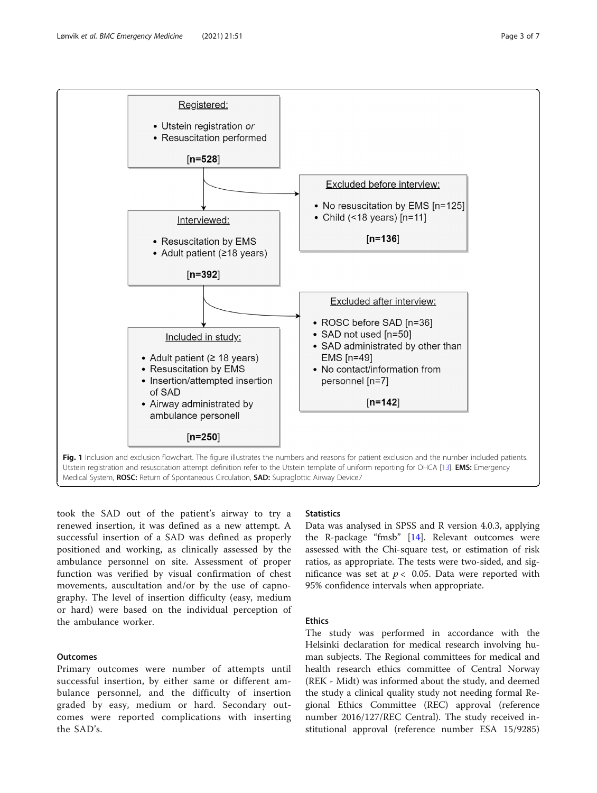<span id="page-2-0"></span>

took the SAD out of the patient's airway to try a renewed insertion, it was defined as a new attempt. A successful insertion of a SAD was defined as properly positioned and working, as clinically assessed by the ambulance personnel on site. Assessment of proper function was verified by visual confirmation of chest movements, auscultation and/or by the use of capnography. The level of insertion difficulty (easy, medium or hard) were based on the individual perception of the ambulance worker.

# **Outcomes**

Primary outcomes were number of attempts until successful insertion, by either same or different ambulance personnel, and the difficulty of insertion graded by easy, medium or hard. Secondary outcomes were reported complications with inserting the SAD's.

#### **Statistics**

Data was analysed in SPSS and R version 4.0.3, applying the R-package "fmsb" [[14\]](#page-6-0). Relevant outcomes were assessed with the Chi-square test, or estimation of risk ratios, as appropriate. The tests were two-sided, and significance was set at  $p < 0.05$ . Data were reported with 95% confidence intervals when appropriate.

#### Ethics

The study was performed in accordance with the Helsinki declaration for medical research involving human subjects. The Regional committees for medical and health research ethics committee of Central Norway (REK - Midt) was informed about the study, and deemed the study a clinical quality study not needing formal Regional Ethics Committee (REC) approval (reference number 2016/127/REC Central). The study received institutional approval (reference number ESA 15/9285)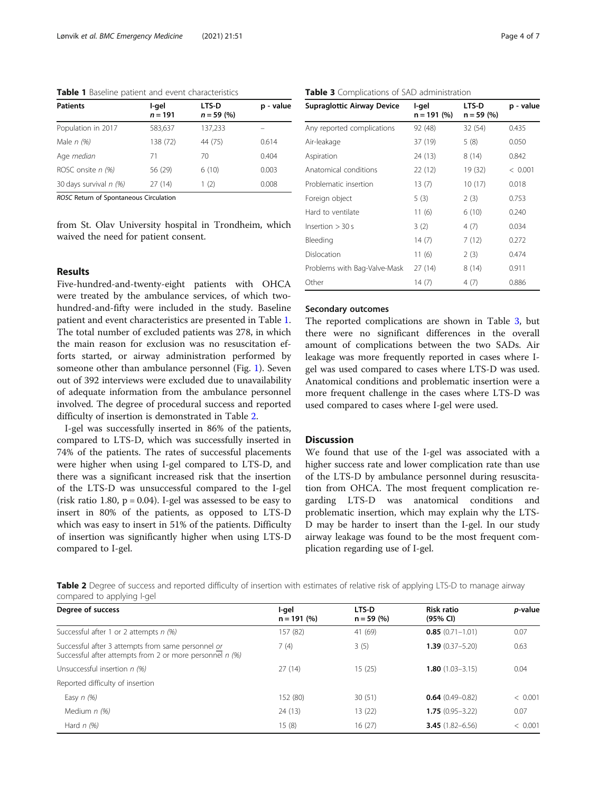Table 1 Baseline patient and event characteristics

| <b>Patients</b>        | I-gel<br>$n = 191$ | <b>LTS-D</b><br>$n = 59(%)$ | p - value |
|------------------------|--------------------|-----------------------------|-----------|
| Population in 2017     | 583,637            | 137,233                     |           |
| Male $n$ (%)           | 138 (72)           | 44 (75)                     | 0.614     |
| Age median             | 71                 | 70                          | 0.404     |
| ROSC onsite $n$ (%)    | 56 (29)            | 6(10)                       | 0.003     |
| 30 days survival n (%) | 27(14)             | (2)                         | 0.008     |

ROSC Return of Spontaneous Circulation

from St. Olav University hospital in Trondheim, which waived the need for patient consent.

# Results

Five-hundred-and-twenty-eight patients with OHCA were treated by the ambulance services, of which twohundred-and-fifty were included in the study. Baseline patient and event characteristics are presented in Table 1. The total number of excluded patients was 278, in which the main reason for exclusion was no resuscitation efforts started, or airway administration performed by someone other than ambulance personnel (Fig. [1](#page-2-0)). Seven out of 392 interviews were excluded due to unavailability of adequate information from the ambulance personnel involved. The degree of procedural success and reported difficulty of insertion is demonstrated in Table 2.

I-gel was successfully inserted in 86% of the patients, compared to LTS-D, which was successfully inserted in 74% of the patients. The rates of successful placements were higher when using I-gel compared to LTS-D, and there was a significant increased risk that the insertion of the LTS-D was unsuccessful compared to the I-gel (risk ratio 1.80,  $p = 0.04$ ). I-gel was assessed to be easy to insert in 80% of the patients, as opposed to LTS-D which was easy to insert in 51% of the patients. Difficulty of insertion was significantly higher when using LTS-D compared to I-gel.

# Table 3 Complications of SAD administration

| <b>Supraglottic Airway Device</b> | I-gel<br>$n = 191 (%)$ | LTS-D<br>$n = 59 (%)$ | p - value |
|-----------------------------------|------------------------|-----------------------|-----------|
| Any reported complications        | 92 (48)                | 32 (54)               | 0.435     |
| Air-leakage                       | 37 (19)                | 5 (8)                 | 0.050     |
| Aspiration                        | 24 (13)                | 8(14)                 | 0.842     |
| Anatomical conditions             | 22(12)                 | 19 (32)               | < 0.001   |
| Problematic insertion             | 13(7)                  | 10(17)                | 0.018     |
| Foreign object                    | 5(3)                   | 2(3)                  | 0.753     |
| Hard to ventilate                 | 11(6)                  | 6(10)                 | 0.240     |
| Insertion $>$ 30 s                | 3(2)                   | 4(7)                  | 0.034     |
| Bleeding                          | 14(7)                  | 7(12)                 | 0.272     |
| Dislocation                       | 11 (6)                 | 2(3)                  | 0.474     |
| Problems with Bag-Valve-Mask      | 27(14)                 | 8(14)                 | 0.911     |
| Other                             | 14(7)                  | 4(7)                  | 0.886     |

# Secondary outcomes

The reported complications are shown in Table 3, but there were no significant differences in the overall amount of complications between the two SADs. Air leakage was more frequently reported in cases where Igel was used compared to cases where LTS-D was used. Anatomical conditions and problematic insertion were a more frequent challenge in the cases where LTS-D was used compared to cases where I-gel were used.

# Discussion

We found that use of the I-gel was associated with a higher success rate and lower complication rate than use of the LTS-D by ambulance personnel during resuscitation from OHCA. The most frequent complication regarding LTS-D was anatomical conditions and problematic insertion, which may explain why the LTS-D may be harder to insert than the I-gel. In our study airway leakage was found to be the most frequent complication regarding use of I-gel.

Table 2 Degree of success and reported difficulty of insertion with estimates of relative risk of applying LTS-D to manage airway compared to applying I-gel

| Degree of success                                                                                              | l-ael<br>$n = 191(%)$ | LTS-D<br>$n = 59(%)$ | <b>Risk ratio</b><br>(95% CI) | <i>p</i> -value |
|----------------------------------------------------------------------------------------------------------------|-----------------------|----------------------|-------------------------------|-----------------|
| Successful after 1 or 2 attempts $n$ (%)                                                                       | 157 (82)              | 41 (69)              | $0.85(0.71 - 1.01)$           | 0.07            |
| Successful after 3 attempts from same personnel or<br>Successful after attempts from 2 or more personnel n (%) | 7(4)                  | 3(5)                 | $1.39(0.37 - 5.20)$           | 0.63            |
| Unsuccessful insertion n (%)                                                                                   | 27(14)                | 15(25)               | $1.80(1.03 - 3.15)$           | 0.04            |
| Reported difficulty of insertion                                                                               |                       |                      |                               |                 |
| Easy $n$ (%)                                                                                                   | 152 (80)              | 30(51)               | $0.64(0.49 - 0.82)$           | < 0.001         |
| Medium $n$ (%)                                                                                                 | 24(13)                | 13(22)               | $1.75(0.95 - 3.22)$           | 0.07            |
| Hard $n$ (%)                                                                                                   | 15(8)                 | 16(27)               | <b>3.45</b> $(1.82 - 6.56)$   | < 0.001         |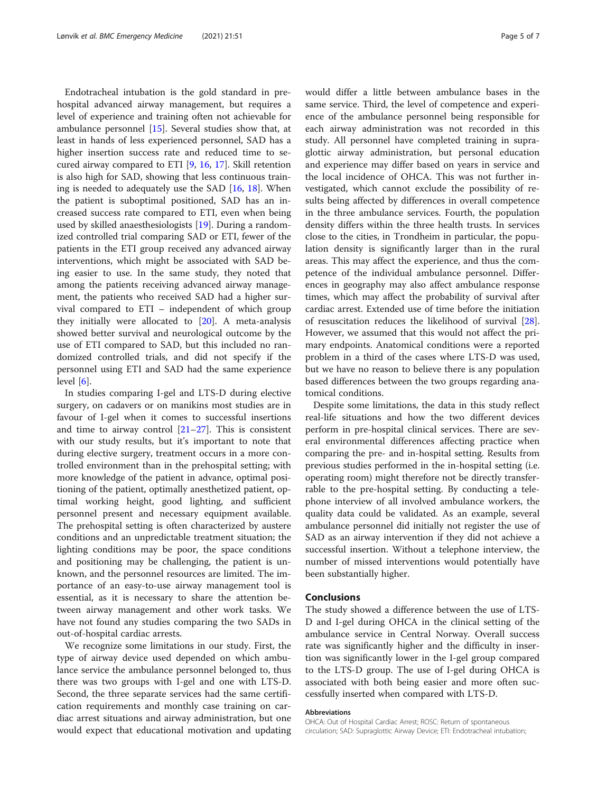Endotracheal intubation is the gold standard in prehospital advanced airway management, but requires a level of experience and training often not achievable for ambulance personnel [[15\]](#page-6-0). Several studies show that, at least in hands of less experienced personnel, SAD has a higher insertion success rate and reduced time to secured airway compared to ETI [[9,](#page-5-0) [16,](#page-6-0) [17](#page-6-0)]. Skill retention is also high for SAD, showing that less continuous training is needed to adequately use the SAD [[16,](#page-6-0) [18\]](#page-6-0). When the patient is suboptimal positioned, SAD has an increased success rate compared to ETI, even when being used by skilled anaesthesiologists [[19\]](#page-6-0). During a randomized controlled trial comparing SAD or ETI, fewer of the patients in the ETI group received any advanced airway interventions, which might be associated with SAD being easier to use. In the same study, they noted that among the patients receiving advanced airway management, the patients who received SAD had a higher survival compared to ETI – independent of which group they initially were allocated to [\[20](#page-6-0)]. A meta-analysis showed better survival and neurological outcome by the use of ETI compared to SAD, but this included no randomized controlled trials, and did not specify if the personnel using ETI and SAD had the same experience level [\[6](#page-5-0)].

In studies comparing I-gel and LTS-D during elective surgery, on cadavers or on manikins most studies are in favour of I-gel when it comes to successful insertions and time to airway control  $[21-27]$  $[21-27]$  $[21-27]$ . This is consistent with our study results, but it's important to note that during elective surgery, treatment occurs in a more controlled environment than in the prehospital setting; with more knowledge of the patient in advance, optimal positioning of the patient, optimally anesthetized patient, optimal working height, good lighting, and sufficient personnel present and necessary equipment available. The prehospital setting is often characterized by austere conditions and an unpredictable treatment situation; the lighting conditions may be poor, the space conditions and positioning may be challenging, the patient is unknown, and the personnel resources are limited. The importance of an easy-to-use airway management tool is essential, as it is necessary to share the attention between airway management and other work tasks. We have not found any studies comparing the two SADs in out-of-hospital cardiac arrests.

We recognize some limitations in our study. First, the type of airway device used depended on which ambulance service the ambulance personnel belonged to, thus there was two groups with I-gel and one with LTS-D. Second, the three separate services had the same certification requirements and monthly case training on cardiac arrest situations and airway administration, but one would expect that educational motivation and updating would differ a little between ambulance bases in the same service. Third, the level of competence and experience of the ambulance personnel being responsible for each airway administration was not recorded in this study. All personnel have completed training in supraglottic airway administration, but personal education and experience may differ based on years in service and the local incidence of OHCA. This was not further investigated, which cannot exclude the possibility of results being affected by differences in overall competence in the three ambulance services. Fourth, the population density differs within the three health trusts. In services close to the cities, in Trondheim in particular, the population density is significantly larger than in the rural areas. This may affect the experience, and thus the competence of the individual ambulance personnel. Differences in geography may also affect ambulance response times, which may affect the probability of survival after cardiac arrest. Extended use of time before the initiation of resuscitation reduces the likelihood of survival [\[28](#page-6-0)]. However, we assumed that this would not affect the primary endpoints. Anatomical conditions were a reported problem in a third of the cases where LTS-D was used, but we have no reason to believe there is any population based differences between the two groups regarding anatomical conditions.

Despite some limitations, the data in this study reflect real-life situations and how the two different devices perform in pre-hospital clinical services. There are several environmental differences affecting practice when comparing the pre- and in-hospital setting. Results from previous studies performed in the in-hospital setting (i.e. operating room) might therefore not be directly transferrable to the pre-hospital setting. By conducting a telephone interview of all involved ambulance workers, the quality data could be validated. As an example, several ambulance personnel did initially not register the use of SAD as an airway intervention if they did not achieve a successful insertion. Without a telephone interview, the number of missed interventions would potentially have been substantially higher.

# **Conclusions**

The study showed a difference between the use of LTS-D and I-gel during OHCA in the clinical setting of the ambulance service in Central Norway. Overall success rate was significantly higher and the difficulty in insertion was significantly lower in the I-gel group compared to the LTS-D group. The use of I-gel during OHCA is associated with both being easier and more often successfully inserted when compared with LTS-D.

#### Abbreviations

OHCA: Out of Hospital Cardiac Arrest; ROSC: Return of spontaneous circulation; SAD: Supraglottic Airway Device; ETI: Endotracheal intubation;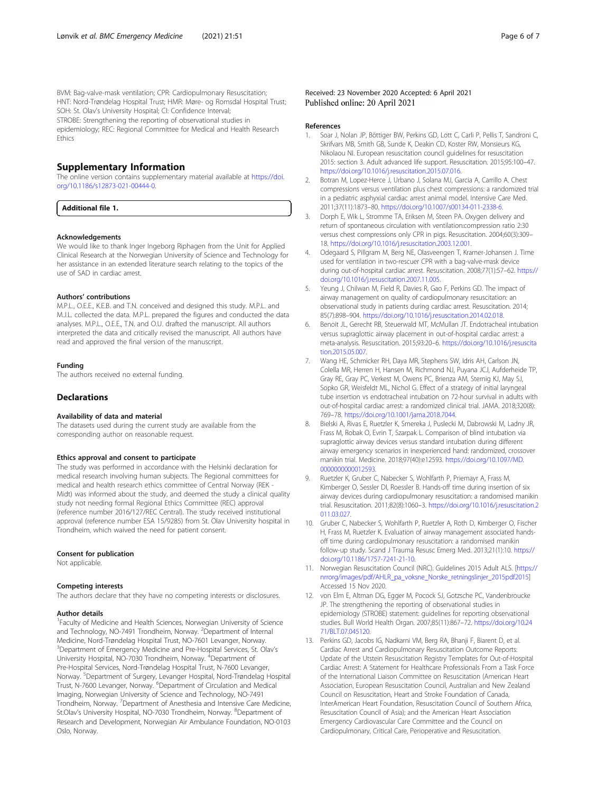<span id="page-5-0"></span>BVM: Bag-valve-mask ventilation; CPR: Cardiopulmonary Resuscitation; HNT: Nord-Trøndelag Hospital Trust; HMR: Møre- og Romsdal Hospital Trust; SOH: St. Olav's University Hospital; CI: Confidence Interval; STROBE: Strengthening the reporting of observational studies in epidemiology; REC: Regional Committee for Medical and Health Research **Ethics** 

# Supplementary Information

The online version contains supplementary material available at [https://doi.](https://doi.org/10.1186/s12873-021-00444-0) [org/10.1186/s12873-021-00444-0.](https://doi.org/10.1186/s12873-021-00444-0)

Additional file 1.

#### Acknowledgements

We would like to thank Inger Ingeborg Riphagen from the Unit for Applied Clinical Research at the Norwegian University of Science and Technology for her assistance in an extended literature search relating to the topics of the use of SAD in cardiac arrest.

#### Authors' contributions

M.P.L., O.E.E., K.E.B. and T.N. conceived and designed this study. M.P.L. and M.J.L. collected the data. M.P.L. prepared the figures and conducted the data analyses. M.P.L., O.E.E., T.N. and O.U. drafted the manuscript. All authors interpreted the data and critically revised the manuscript. All authors have read and approved the final version of the manuscript.

#### Funding

The authors received no external funding.

#### **Declarations**

#### Availability of data and material

The datasets used during the current study are available from the corresponding author on reasonable request.

#### Ethics approval and consent to participate

The study was performed in accordance with the Helsinki declaration for medical research involving human subjects. The Regional committees for medical and health research ethics committee of Central Norway (REK - Midt) was informed about the study, and deemed the study a clinical quality study not needing formal Regional Ethics Committee (REC) approval (reference number 2016/127/REC Central). The study received institutional approval (reference number ESA 15/9285) from St. Olav University hospital in Trondheim, which waived the need for patient consent.

#### Consent for publication

Not applicable.

#### Competing interests

The authors declare that they have no competing interests or disclosures.

#### Author details

<sup>1</sup> Faculty of Medicine and Health Sciences, Norwegian University of Science and Technology, NO-7491 Trondheim, Norway. <sup>2</sup>Department of Internal Medicine, Nord-Trøndelag Hospital Trust, NO-7601 Levanger, Norway. <sup>3</sup>Department of Emergency Medicine and Pre-Hospital Services, St. Olav's University Hospital, NO-7030 Trondheim, Norway. <sup>4</sup>Department of Pre-Hospital Services, Nord-Trøndelag Hospital Trust, N-7600 Levanger, Norway. <sup>5</sup>Department of Surgery, Levanger Hospital, Nord-Trøndelag Hospital Trust, N-7600 Levanger, Norway. <sup>6</sup>Department of Circulation and Medical Imaging, Norwegian University of Science and Technology, NO-7491 Trondheim, Norway. <sup>7</sup>Department of Anesthesia and Intensive Care Medicine, St.Olav's University Hospital, NO-7030 Trondheim, Norway. <sup>8</sup>Department of Research and Development, Norwegian Air Ambulance Foundation, NO-0103 Oslo, Norway.

Received: 23 November 2020 Accepted: 6 April 2021 Published online: 20 April 2021

#### References

- 1. Soar J, Nolan JP, Böttiger BW, Perkins GD, Lott C, Carli P, Pellis T, Sandroni C, Skrifvars MB, Smith GB, Sunde K, Deakin CD, Koster RW, Monsieurs KG, Nikolaou NI. European resuscitation council guidelines for resuscitation 2015: section 3. Adult advanced life support. Resuscitation. 2015;95:100–47. <https://doi.org/10.1016/j.resuscitation.2015.07.016>.
- 2. Botran M, Lopez-Herce J, Urbano J, Solana MJ, Garcia A, Carrillo A. Chest compressions versus ventilation plus chest compressions: a randomized trial in a pediatric asphyxial cardiac arrest animal model. Intensive Care Med. 2011;37(11):1873–80. [https://doi.org/10.1007/s00134-011-2338-6.](https://doi.org/10.1007/s00134-011-2338-6)
- 3. Dorph E, Wik L, Stromme TA, Eriksen M, Steen PA. Oxygen delivery and return of spontaneous circulation with ventilation:compression ratio 2:30 versus chest compressions only CPR in pigs. Resuscitation. 2004;60(3):309– 18. [https://doi.org/10.1016/j.resuscitation.2003.12.001.](https://doi.org/10.1016/j.resuscitation.2003.12.001)
- 4. Odegaard S, Pillgram M, Berg NE, Olasveengen T, Kramer-Johansen J. Time used for ventilation in two-rescuer CPR with a bag-valve-mask device during out-of-hospital cardiac arrest. Resuscitation. 2008;77(1):57–62. [https://](https://doi.org/10.1016/j.resuscitation.2007.11.005) [doi.org/10.1016/j.resuscitation.2007.11.005.](https://doi.org/10.1016/j.resuscitation.2007.11.005)
- Yeung J, Chilwan M, Field R, Davies R, Gao F, Perkins GD. The impact of airway management on quality of cardiopulmonary resuscitation: an observational study in patients during cardiac arrest. Resuscitation. 2014; 85(7):898–904. [https://doi.org/10.1016/j.resuscitation.2014.02.018.](https://doi.org/10.1016/j.resuscitation.2014.02.018)
- 6. Benoit JL, Gerecht RB, Steuerwald MT, McMullan JT. Endotracheal intubation versus supraglottic airway placement in out-of-hospital cardiac arrest: a meta-analysis. Resuscitation. 2015;93:20–6. [https://doi.org/10.1016/j.resuscita](https://doi.org/10.1016/j.resuscitation.2015.05.007) [tion.2015.05.007](https://doi.org/10.1016/j.resuscitation.2015.05.007).
- 7. Wang HE, Schmicker RH, Daya MR, Stephens SW, Idris AH, Carlson JN, Colella MR, Herren H, Hansen M, Richmond NJ, Puyana JCJ, Aufderheide TP, Gray RE, Gray PC, Verkest M, Owens PC, Brienza AM, Sternig KJ, May SJ, Sopko GR, Weisfeldt ML, Nichol G. Effect of a strategy of initial laryngeal tube insertion vs endotracheal intubation on 72-hour survival in adults with out-of-hospital cardiac arrest: a randomized clinical trial. JAMA. 2018;320(8): 769–78. <https://doi.org/10.1001/jama.2018.7044>.
- 8. Bielski A, Rivas E, Ruetzler K, Smereka J, Puslecki M, Dabrowski M, Ladny JR, Frass M, Robak O, Evrin T, Szarpak L. Comparison of blind intubation via supraglottic airway devices versus standard intubation during different airway emergency scenarios in inexperienced hand: randomized, crossover manikin trial. Medicine. 2018;97(40):e12593. [https://doi.org/10.1097/MD.](https://doi.org/10.1097/MD.0000000000012593) [0000000000012593](https://doi.org/10.1097/MD.0000000000012593).
- 9. Ruetzler K, Gruber C, Nabecker S, Wohlfarth P, Priemayr A, Frass M, Kimberger O, Sessler DI, Roessler B. Hands-off time during insertion of six airway devices during cardiopulmonary resuscitation: a randomised manikin trial. Resuscitation. 2011;82(8):1060–3. [https://doi.org/10.1016/j.resuscitation.2](https://doi.org/10.1016/j.resuscitation.2011.03.027) [011.03.027](https://doi.org/10.1016/j.resuscitation.2011.03.027).
- 10. Gruber C, Nabecker S, Wohlfarth P, Ruetzler A, Roth D, Kimberger O, Fischer H, Frass M, Ruetzler K. Evaluation of airway management associated handsoff time during cardiopulmonary resuscitation: a randomised manikin follow-up study. Scand J Trauma Resusc Emerg Med. 2013;21(1):10. [https://](https://doi.org/10.1186/1757-7241-21-10) [doi.org/10.1186/1757-7241-21-10.](https://doi.org/10.1186/1757-7241-21-10)
- 11. Norwegian Resuscitation Council (NRC). Guidelines 2015 Adult ALS. [[https://](https://nrr.org/images/pdf/AHLR_pa_voksne_Norske_retningslinjer_2015.pdf2015) [nrrorg/images/pdf/AHLR\\_pa\\_voksne\\_Norske\\_retningslinjer\\_2015pdf2015\]](https://nrr.org/images/pdf/AHLR_pa_voksne_Norske_retningslinjer_2015.pdf2015) Accessed 15 Nov 2020.
- 12. von Elm E, Altman DG, Egger M, Pocock SJ, Gotzsche PC, Vandenbroucke JP. The strengthening the reporting of observational studies in epidemiology (STROBE) statement: guidelines for reporting observational studies. Bull World Health Organ. 2007;85(11):867–72. [https://doi.org/10.24](https://doi.org/10.2471/BLT.07.045120) [71/BLT.07.045120.](https://doi.org/10.2471/BLT.07.045120)
- 13. Perkins GD, Jacobs IG, Nadkarni VM, Berg RA, Bhanji F, Biarent D, et al. Cardiac Arrest and Cardiopulmonary Resuscitation Outcome Reports: Update of the Utstein Resuscitation Registry Templates for Out-of-Hospital Cardiac Arrest: A Statement for Healthcare Professionals From a Task Force of the International Liaison Committee on Resuscitation (American Heart Association, European Resuscitation Council, Australian and New Zealand Council on Resuscitation, Heart and Stroke Foundation of Canada, InterAmerican Heart Foundation, Resuscitation Council of Southern Africa, Resuscitation Council of Asia); and the American Heart Association Emergency Cardiovascular Care Committee and the Council on Cardiopulmonary, Critical Care, Perioperative and Resuscitation.